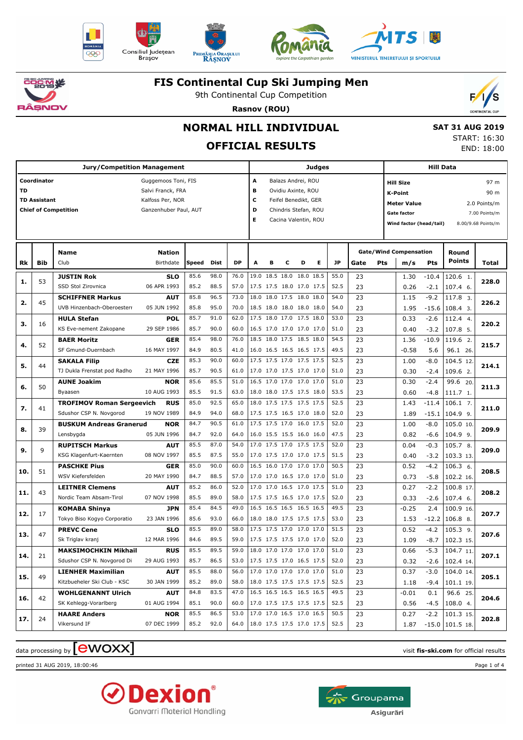











### **FIS Continental Cup Ski Jumping Men**

9th Continental Cup Competition



## **Rasnov (ROU) NORMAL HILL INDIVIDUAL**

 **SAT 31 AUG 2019**

## **OFFICIAL RESULTS**

START: 16:30 END: 18:00

|           |                     | <b>Jury/Competition Management</b> |                       | Judges |      |           |                           |                |   |                          |   | Hill Data |      |                    |                               |         |                   |                               |  |
|-----------|---------------------|------------------------------------|-----------------------|--------|------|-----------|---------------------------|----------------|---|--------------------------|---|-----------|------|--------------------|-------------------------------|---------|-------------------|-------------------------------|--|
|           | Coordinator         |                                    | Guggemoos Toni, FIS   |        |      |           | A<br>Balazs Andrei, ROU   |                |   |                          |   |           |      |                    | 97 m<br><b>Hill Size</b>      |         |                   |                               |  |
| <b>TD</b> |                     |                                    | Salvi Franck, FRA     |        |      |           | B<br>Ovidiu Axinte, ROU   |                |   |                          |   |           |      |                    | 90 m<br><b>K-Point</b>        |         |                   |                               |  |
|           | <b>TD Assistant</b> |                                    | Kalfoss Per, NOR      |        |      |           | c<br>Feifel Benedikt, GER |                |   |                          |   |           |      | <b>Meter Value</b> |                               |         |                   |                               |  |
|           |                     | <b>Chief of Competition</b>        | Ganzenhuber Paul, AUT |        |      |           | D                         |                |   | Chindris Stefan, ROU     |   |           |      |                    | <b>Gate factor</b>            |         |                   | 2.0 Points/m<br>7.00 Points/m |  |
|           |                     |                                    |                       |        |      |           | Е                         |                |   | Cacina Valentin, ROU     |   |           |      |                    |                               |         |                   |                               |  |
|           |                     |                                    |                       |        |      |           |                           |                |   |                          |   |           |      |                    | Wind factor (head/tail)       |         |                   | 8.00/9.68 Points/m            |  |
|           |                     |                                    |                       |        |      |           |                           |                |   |                          |   |           |      |                    |                               |         |                   |                               |  |
|           |                     | <b>Name</b>                        | <b>Nation</b>         |        |      |           |                           |                |   |                          |   |           |      |                    | <b>Gate/Wind Compensation</b> |         | Round             |                               |  |
| Rk        | Bib                 | Club                               | Birthdate             | Speed  | Dist | <b>DP</b> | A                         | в              | с | D                        | Е | JP        | Gate | Pts                | m/s                           | Pts     | Points            | Total                         |  |
| 1.        | 53                  | <b>JUSTIN Rok</b>                  | SLO                   | 85.6   | 98.0 | 76.0      |                           | 19.0 18.5 18.0 |   | 18.0 18.5                |   | 55.0      | 23   |                    | 1.30                          | $-10.4$ | 120.6 1.          | 228.0                         |  |
|           |                     | SSD Stol Zirovnica                 | 06 APR 1993           | 85.2   | 88.5 | 57.0      |                           |                |   | 17.5 17.5 18.0 17.0 17.5 |   | 52.5      | 23   |                    | 0.26                          | $-2.1$  | $107.4$ 6.        |                               |  |
| 2.        | 45                  | <b>SCHIFFNER Markus</b>            | <b>AUT</b>            | 85.8   | 96.5 | 73.0      |                           |                |   | 18.0 18.0 17.5 18.0 18.0 |   | 54.0      | 23   |                    | 1.15                          | $-9.2$  | 117.8 3.          | 226.2                         |  |
|           |                     | UVB Hinzenbach-Oberoesterr         | 05 JUN 1992           | 85.8   | 95.0 | 70.0      |                           |                |   | 18.5 18.0 18.0 18.0 18.0 |   | 54.0      | 23   |                    | 1.95                          | $-15.6$ | 108.4 3.          |                               |  |
| з.        | 16                  | <b>HULA Stefan</b>                 | POL                   | 85.7   | 91.0 | 62.0      |                           |                |   | 17.5 18.0 17.0 17.5 18.0 |   | 53.0      | 23   |                    | 0.33                          | $-2.6$  | 112.4 4.          | 220.2                         |  |
|           |                     | KS Eve-nement Zakopane             | 29 SEP 1986           | 85.7   | 90.0 | 60.0      |                           |                |   | 16.5 17.0 17.0 17.0 17.0 |   | 51.0      | 23   |                    | 0.40                          | $-3.2$  | 107.8 5.          |                               |  |
|           |                     | <b>BAER Moritz</b>                 | <b>GER</b>            | 85.4   | 98.0 | 76.0      |                           |                |   | 18.5 18.0 17.5 18.5 18.0 |   | 54.5      | 23   |                    | 1.36                          | $-10.9$ | 119.6 2.          |                               |  |
| 4.        | 52                  | SF Gmund-Duernbach                 | 16 MAY 1997           | 84.9   | 80.5 | 41.0      |                           |                |   | 16.0 16.5 16.5 16.5 17.5 |   | 49.5      | 23   |                    | $-0.58$                       | 5.6     | 96.1 26.          | 215.7                         |  |
|           |                     | <b>SAKALA Filip</b>                | <b>CZE</b>            | 85.3   | 90.0 | 60.0      |                           |                |   | 17.5 17.5 17.0 17.5 17.5 |   | 52.5      | 23   |                    | 1.00                          | $-8.0$  | 104.5 12.         |                               |  |
| 5.        | 44                  | TJ Dukla Frenstat pod Radho        | 21 MAY 1996           | 85.7   | 90.5 | 61.0      |                           |                |   | 17.0 17.0 17.5 17.0 17.0 |   | 51.0      | 23   |                    | 0.30                          | $-2.4$  | 109.6 2.          | 214.1                         |  |
|           |                     | <b>AUNE Joakim</b>                 | <b>NOR</b>            | 85.6   | 85.5 | 51.0      |                           |                |   | 16.5 17.0 17.0 17.0 17.0 |   | 51.0      | 23   |                    | 0.30                          | $-2.4$  | 99.6 20.          |                               |  |
| 6.        | 50                  | Byaasen                            | 10 AUG 1993           | 85.5   | 91.5 | 63.0      |                           |                |   | 18.0 18.0 17.5 17.5 18.0 |   | 53.5      | 23   |                    | 0.60                          | $-4.8$  | 111.7 1.          | 211.3                         |  |
|           |                     | <b>TROFIMOV Roman Sergeevich</b>   | <b>RUS</b>            | 85.0   | 92.5 | 65.0      |                           |                |   | 18.0 17.5 17.5 17.5 17.5 |   | 52.5      | 23   |                    | 1.43                          | $-11.4$ | $106.1$ 7.        |                               |  |
| 7.        | 41                  | Sdushor CSP N. Novgorod            | 19 NOV 1989           | 84.9   | 94.0 | 68.0      |                           |                |   | 17.5 17.5 16.5 17.0 18.0 |   | 52.0      | 23   |                    | 1.89                          | $-15.1$ | $104.9$ 9.        | 211.0                         |  |
|           |                     | <b>BUSKUM Andreas Granerud</b>     | <b>NOR</b>            | 84.7   | 90.5 | 61.0      |                           |                |   | 17.5 17.5 17.0 16.0 17.5 |   | 52.0      | 23   |                    | 1.00                          | $-8.0$  | 105.0 10.         |                               |  |
| 8.        | 39                  | Lensbygda                          | 05 JUN 1996           | 84.7   | 92.0 | 64.0      |                           |                |   | 16.0 15.5 15.5 16.0 16.0 |   | 47.5      | 23   |                    | 0.82                          | $-6.6$  | $104.9$ 9.        | 209.9                         |  |
| 9.        | 9                   | <b>RUPITSCH Markus</b>             | <b>AUT</b>            | 85.5   | 87.0 | 54.0      |                           |                |   | 17.0 17.5 17.0 17.5 17.5 |   | 52.0      | 23   |                    | 0.04                          | $-0.3$  | 105.7 8.          | 209.0                         |  |
|           |                     | KSG Klagenfurt-Kaernten            | 08 NOV 1997           | 85.5   | 87.5 | 55.0      |                           |                |   | 17.0 17.5 17.0 17.0 17.5 |   | 51.5      | 23   |                    | 0.40                          | $-3.2$  | 103.3 13.         |                               |  |
| 10.       | 51                  | <b>PASCHKE Pius</b>                | GER                   | 85.0   | 90.0 | 60.0      |                           |                |   | 16.5 16.0 17.0 17.0 17.0 |   | 50.5      | 23   |                    | 0.52                          | $-4.2$  | $106.3$ 6.        | 208.5                         |  |
|           |                     | WSV Kiefersfelden                  | 20 MAY 1990           | 84.7   | 88.5 | 57.0      |                           |                |   | 17.0 17.0 16.5 17.0 17.0 |   | 51.0      | 23   |                    | 0.73                          | $-5.8$  | 102.2 16.         |                               |  |
|           | 43                  | <b>LEITNER Clemens</b>             | <b>AUT</b>            | 85.2   | 86.0 | 52.0      |                           |                |   | 17.0 17.0 16.5 17.0 17.5 |   | 51.0      | 23   |                    | 0.27                          | $-2.2$  | 100.8 17.         | 208.2                         |  |
| 11.       |                     | Nordic Team Absam-Tirol            | 07 NOV 1998           | 85.5   | 89.0 | 58.0      |                           |                |   | 17.5 17.5 16.5 17.0 17.5 |   | 52.0      | 23   |                    | 0.33                          | $-2.6$  | 107.4 6.          |                               |  |
|           |                     | <b>KOMABA Shinya</b>               | <b>JPN</b>            | 85.4   | 84.5 | 49.0      |                           |                |   | 16.5 16.5 16.5 16.5 16.5 |   | 49.5      | 23   |                    | $-0.25$                       | 2.4     | 100.9 16.         |                               |  |
| 12.       | 17                  | Tokyo Biso Kogyo Corporatio        | 23 JAN 1996           | 85.6   | 93.0 | 66.0      |                           |                |   | 18.0 18.0 17.5 17.5 17.5 |   | 53.0      | 23   |                    | 1.53                          | $-12.2$ | 106.8 8.          | 207.7                         |  |
|           | 47                  | <b>PREVC Cene</b>                  | SLO                   | 85.5   | 89.0 | 58.0      |                           |                |   | 17.5 17.5 17.0 17.0 17.0 |   | 51.5      | 23   |                    | 0.52                          | $-4.2$  | $105.3$ 9.        | 207.6                         |  |
| 13.       |                     | Sk Triglav kranj                   | 12 MAR 1996           | 84.6   | 89.5 | 59.0      |                           |                |   | 17.5 17.5 17.5 17.0 17.0 |   | 52.0      | 23   |                    | 1.09                          | $-8.7$  | 102.3 15.         |                               |  |
|           |                     | <b>MAKSIMOCHKIN Mikhail</b>        | <b>RUS</b>            | 85.5   | 89.5 | 59.0      |                           |                |   | 18.0 17.0 17.0 17.0 17.0 |   | 51.0      | 23   |                    | 0.66                          | $-5.3$  | 104.7 11.         |                               |  |
| 14.       | 21                  | Sdushor CSP N. Novgorod Di         | 29 AUG 1993           | 85.7   | 86.5 | 53.0      | 17.5 17.5 17.0 16.5 17.5  |                |   |                          |   | 52.0      | 23   |                    | 0.32                          | $-2.6$  | $102.4$ 14.       | 207.1                         |  |
|           |                     | <b>LIENHER Maximilian</b>          | <b>AUT</b>            | 85.5   | 88.0 | 56.0      |                           |                |   | 17.0 17.0 17.0 17.0 17.0 |   | 51.0      | 23   |                    | 0.37                          | $-3.0$  | 104.0 14.         |                               |  |
| 15.       | 49                  | Kitzbueheler Ski Club - KSC        | 30 JAN 1999           | 85.2   | 89.0 | 58.0      |                           |                |   | 18.0 17.5 17.5 17.5 17.5 |   | 52.5      | 23   |                    | 1.18                          | $-9.4$  | $101.1$ 19.       | 205.1                         |  |
|           |                     | <b>WOHLGENANNT Ulrich</b>          | <b>AUT</b>            | 84.8   | 83.5 | 47.0      |                           |                |   | 16.5 16.5 16.5 16.5 16.5 |   | 49.5      | 23   |                    | $-0.01$                       | 0.1     | 96.6 25.          |                               |  |
| 16.       | 42                  | SK Kehlegg-Vorarlberg              | 01 AUG 1994           | 85.1   | 90.0 | 60.0      |                           |                |   | 17.0 17.5 17.5 17.5 17.5 |   | 52.5      | 23   |                    | 0.56                          | $-4.5$  | 108.0 4.          | 204.6                         |  |
|           |                     | <b>HAARE Anders</b>                | <b>NOR</b>            | 85.5   | 86.5 | 53.0      |                           |                |   | 17.0 17.0 16.5 17.0 16.5 |   | 50.5      | 23   |                    | 0.27                          | $-2.2$  | 101.3 15.         |                               |  |
| 17.       | 24                  | Vikersund IF                       | 07 DEC 1999           | 85.2   | 92.0 | 64.0      | 18.0 17.5 17.5 17.0 17.5  |                |   |                          |   | 52.5      | 23   |                    | 1.87                          |         | $-15.0$ 101.5 18. | 202.8                         |  |

## $\alpha$  data processing by  $\boxed{\text{ewOX}}$

printed 31 AUG 2019, 18:00:46 Page 1 of 4



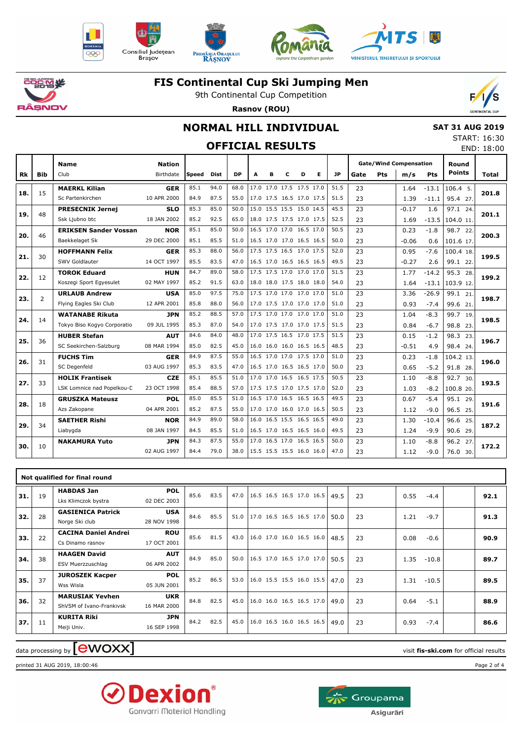





T



T



# **こうこで、火** ÂŞNOV

т

#### **FIS Continental Cup Ski Jumping Men**

9th Continental Cup Competition **Rasnov (ROU)**



### **NORMAL HILL INDIVIDUAL**

 **SAT 31 AUG 2019** START: 16:30 END: 18:00

┱

T

| <b>OFFICIAL RESULTS</b> |  |
|-------------------------|--|

┯

┯

|     |                | <b>Name</b>                   | <b>Nation</b> |       |      |           |   |   |                          |   |                          |           | <b>Gate/Wind Compensation</b> |            |         |         | Round         |       |
|-----|----------------|-------------------------------|---------------|-------|------|-----------|---|---|--------------------------|---|--------------------------|-----------|-------------------------------|------------|---------|---------|---------------|-------|
| Rk  | <b>Bib</b>     | Club                          | Birthdate     | Speed | Dist | <b>DP</b> | A | в | c                        | D | Е                        | <b>JP</b> | Gate                          | <b>Pts</b> | m/s     | Pts     | <b>Points</b> | Total |
|     |                | <b>MAERKL Kilian</b>          | <b>GER</b>    | 85.1  | 94.0 | 68.0      |   |   | 17.0 17.0 17.5 17.5 17.0 |   |                          | 51.5      | 23                            |            | 1.64    | $-13.1$ | $106.4$ 5.    |       |
| 18. | 15             | Sc Partenkirchen              | 10 APR 2000   | 84.9  | 87.5 | 55.0      |   |   | 17.0 17.5 16.5 17.0 17.5 |   |                          | 51.5      | 23                            |            | 1.39    | $-11.1$ | 95.4 27.      | 201.8 |
|     | 48             | <b>PRESECNIK Jernej</b>       | <b>SLO</b>    | 85.3  | 85.0 | 50.0      |   |   | 15.0 15.5 15.5 15.0 14.5 |   |                          | 45.5      | 23                            |            | $-0.17$ | 1.6     | 97.1 24.      | 201.1 |
| 19. |                | Ssk Ljubno btc                | 18 JAN 2002   | 85.2  | 92.5 | 65.0      |   |   | 18.0 17.5 17.5 17.0 17.5 |   |                          | 52.5      | 23                            |            | 1.69    | $-13.5$ | 104.0 11.     |       |
| 20. | 46             | <b>ERIKSEN Sander Vossan</b>  | <b>NOR</b>    | 85.1  | 85.0 | 50.0      |   |   | 16.5 17.0 17.0 16.5 17.0 |   |                          | 50.5      | 23                            |            | 0.23    | $-1.8$  | 98.7 22.      | 200.3 |
|     |                | Baekkelaget Sk                | 29 DEC 2000   | 85.1  | 85.5 | 51.0      |   |   | 16.5 17.0 17.0 16.5 16.5 |   |                          | 50.0      | 23                            |            | $-0.06$ | 0.6     | 101.6 17.     |       |
| 21. | 30             | <b>HOFFMANN Felix</b>         | <b>GER</b>    | 85.3  | 88.0 | 56.0      |   |   | 17.5 17.5 16.5 17.0 17.5 |   |                          | 52.0      | 23                            |            | 0.95    | $-7.6$  | 100.4 18.     | 199.5 |
|     |                | SWV Goldlauter                | 14 OCT 1997   | 85.5  | 83.5 | 47.0      |   |   | 16.5 17.0 16.5 16.5 16.5 |   |                          | 49.5      | 23                            |            | $-0.27$ | 2.6     | 99.1 22.      |       |
| 22. | 12             | <b>TOROK Eduard</b>           | <b>HUN</b>    | 84.7  | 89.0 | 58.0      |   |   | 17.5 17.5 17.0 17.0 17.0 |   |                          | 51.5      | 23                            |            | 1.77    | $-14.2$ | 95.3 28.      | 199.2 |
|     |                | Koszegi Sport Egyesulet       | 02 MAY 1997   | 85.2  | 91.5 | 63.0      |   |   | 18.0 18.0 17.5 18.0 18.0 |   |                          | 54.0      | 23                            |            | 1.64    | $-13.1$ | 103.9 12.     |       |
| 23. | $\overline{2}$ | <b>URLAUB Andrew</b>          | <b>USA</b>    | 85.0  | 97.5 | 75.0      |   |   | 17.5 17.0 17.0 17.0 17.0 |   |                          | 51.0      | 23                            |            | 3.36    | $-26.9$ | 99.1 21.      | 198.7 |
|     |                | Flying Eagles Ski Club        | 12 APR 2001   | 85.8  | 88.0 | 56.0      |   |   | 17.0 17.5 17.0 17.0 17.0 |   |                          | 51.0      | 23                            |            | 0.93    | $-7.4$  | 99.6 21.      |       |
| 24. | 14             | <b>WATANABE Rikuta</b>        | JPN           | 85.2  | 88.5 | 57.0      |   |   | 17.5 17.0 17.0 17.0 17.0 |   |                          | 51.0      | 23                            |            | 1.04    | $-8.3$  | 99.7 19.      | 198.5 |
|     |                | Tokyo Biso Kogyo Corporatio   | 09 JUL 1995   | 85.3  | 87.0 | 54.0      |   |   | 17.0 17.5 17.0 17.0 17.5 |   |                          | 51.5      | 23                            |            | 0.84    | $-6.7$  | 98.8 23.      |       |
| 25. | 36             | <b>HUBER Stefan</b>           | <b>AUT</b>    | 84.6  | 84.0 | 48.0      |   |   | 17.0 17.5 16.5 17.0 17.5 |   |                          | 51.5      | 23                            |            | 0.15    | $-1.2$  | 98.3 23.      | 196.7 |
|     |                | SC Seekirchen-Salzburg        | 08 MAR 1994   | 85.0  | 82.5 | 45.0      |   |   | 16.0 16.0 16.0 16.5 16.5 |   |                          | 48.5      | 23                            |            | $-0.51$ | 4.9     | 98.4 24.      |       |
| 26. | 31             | <b>FUCHS Tim</b>              | <b>GER</b>    | 84.9  | 87.5 | 55.0      |   |   | 16.5 17.0 17.0 17.5 17.0 |   |                          | 51.0      | 23                            |            | 0.23    | $-1.8$  | 104.2 13.     | 196.0 |
|     |                | SC Degenfeld                  | 03 AUG 1997   | 85.3  | 83.5 | 47.0      |   |   | 16.5 17.0 16.5 16.5 17.0 |   |                          | 50.0      | 23                            |            | 0.65    | $-5.2$  | 91.8 28.      |       |
| 27. | 33             | <b>HOLIK Frantisek</b>        | <b>CZE</b>    | 85.1  | 85.5 | 51.0      |   |   | 17.0 17.0 16.5 16.5 17.5 |   |                          | 50.5      | 23                            |            | 1.10    | $-8.8$  | 92.7 30.      | 193.5 |
|     |                | LSK Lomnice nad Popelkou-C    | 23 OCT 1998   | 85.4  | 88.5 | 57.0      |   |   | 17.5 17.5 17.0 17.5 17.0 |   |                          | 52.0      | 23                            |            | 1.03    | $-8.2$  | 100.8 20.     |       |
| 28. | 18             | <b>GRUSZKA Mateusz</b>        | POL           | 85.0  | 85.5 | 51.0      |   |   | 16.5 17.0 16.5 16.5 16.5 |   |                          | 49.5      | 23                            |            | 0.67    | $-5.4$  | 95.1 29.      | 191.6 |
|     |                | Azs Zakopane                  | 04 APR 2001   | 85.2  | 87.5 | 55.0      |   |   | 17.0 17.0 16.0 17.0 16.5 |   |                          | 50.5      | 23                            |            | 1.12    | $-9.0$  | 96.5 25.      |       |
| 29. | 34             | <b>SAETHER Rishi</b>          | <b>NOR</b>    | 84.9  | 89.0 | 58.0      |   |   | 16.0 16.5 15.5 16.5 16.5 |   |                          | 49.0      | 23                            |            | 1.30    | $-10.4$ | 96.6 25.      | 187.2 |
|     |                | Liabygda                      | 08 JAN 1997   | 84.5  | 85.5 | 51.0      |   |   | 16.5 17.0 16.5 16.5 16.0 |   |                          | 49.5      | 23                            |            | 1.24    | $-9.9$  | 90.6 29.      |       |
| 30. | 10             | <b>NAKAMURA Yuto</b>          | JPN           | 84.3  | 87.5 | 55.0      |   |   | 17.0 16.5 17.0 16.5 16.5 |   |                          | 50.0      | 23                            |            | 1.10    | $-8.8$  | 96.2 27.      | 172.2 |
|     |                |                               | 02 AUG 1997   | 84.4  | 79.0 | 38.0      |   |   | 15.5 15.5 15.5 16.0 16.0 |   |                          | 47.0      | 23                            |            | 1.12    | $-9.0$  | 76.0 30.      |       |
|     |                |                               |               |       |      |           |   |   |                          |   |                          |           |                               |            |         |         |               |       |
|     |                | Not qualified for final round |               |       |      |           |   |   |                          |   |                          |           |                               |            |         |         |               |       |
|     |                | <b>HABDAS Jan</b>             | <b>POL</b>    |       |      |           |   |   |                          |   |                          |           |                               |            |         |         |               |       |
| 31. | 19             | Lks Klimczok bystra           | 02 DEC 2003   | 85.6  | 83.5 | 47.0      |   |   | 16.5 16.5 16.5 17.0 16.5 |   |                          | 49.5      | 23                            |            | 0.55    | $-4.4$  |               | 92.1  |
|     |                | <b>GASIENICA Patrick</b>      | <b>USA</b>    |       |      |           |   |   |                          |   |                          |           |                               |            |         |         |               |       |
| 32. | 28             |                               |               | 84.6  | 85.5 | 51.0      |   |   |                          |   | 17.0 16.5 16.5 16.5 17.0 | 50.0      | 23                            |            | 1.21    | $-9.7$  |               | 91.3  |

| <b>GASIENICA Patrick</b>         | <b>USA</b>  |                                              |                                              |                                              |  |                                                                                                                                                                                                                                                    |                                  |                                              |                                                            | 91.3 |
|----------------------------------|-------------|----------------------------------------------|----------------------------------------------|----------------------------------------------|--|----------------------------------------------------------------------------------------------------------------------------------------------------------------------------------------------------------------------------------------------------|----------------------------------|----------------------------------------------|------------------------------------------------------------|------|
| Norge Ski club                   | 28 NOV 1998 |                                              |                                              |                                              |  |                                                                                                                                                                                                                                                    |                                  |                                              |                                                            |      |
| <b>CACINA Daniel Andrei</b>      | <b>ROU</b>  |                                              |                                              |                                              |  |                                                                                                                                                                                                                                                    |                                  |                                              |                                                            | 90.9 |
| Cs Dinamo rasnov                 | 17 OCT 2001 |                                              |                                              |                                              |  |                                                                                                                                                                                                                                                    |                                  |                                              |                                                            |      |
| <b>HAAGEN David</b>              | <b>AUT</b>  |                                              |                                              |                                              |  |                                                                                                                                                                                                                                                    |                                  |                                              |                                                            | 89.7 |
| ESV Muerzzuschlag                | 06 APR 2002 |                                              |                                              |                                              |  |                                                                                                                                                                                                                                                    |                                  |                                              |                                                            |      |
| <b>JUROSZEK Kacper</b>           | <b>POL</b>  |                                              |                                              |                                              |  |                                                                                                                                                                                                                                                    |                                  |                                              |                                                            | 89.5 |
| Wss Wisla                        | 05 JUN 2001 |                                              |                                              |                                              |  |                                                                                                                                                                                                                                                    |                                  |                                              |                                                            |      |
| <b>MARUSIAK Yevhen</b>           | <b>UKR</b>  |                                              |                                              |                                              |  |                                                                                                                                                                                                                                                    |                                  |                                              |                                                            | 88.9 |
| ShVSM of Ivano-Frankivsk         | 16 MAR 2000 |                                              |                                              |                                              |  |                                                                                                                                                                                                                                                    |                                  |                                              |                                                            |      |
| <b>KURITA Riki</b>               | <b>JPN</b>  |                                              |                                              |                                              |  |                                                                                                                                                                                                                                                    |                                  |                                              |                                                            | 86.6 |
| Meiji Univ.                      | 16 SEP 1998 |                                              |                                              |                                              |  |                                                                                                                                                                                                                                                    |                                  |                                              |                                                            |      |
| 28<br>22<br>38<br>37<br>32<br>11 |             | 84.6<br>85.6<br>84.9<br>85.2<br>84.8<br>84.2 | 85.5<br>81.5<br>85.0<br>86.5<br>82.5<br>82.5 | 51.0<br>43.0<br>50.0<br>53.0<br>45.0<br>45.0 |  | $17.0$ 16.5 16.5 16.5 17.0<br>50.0<br>$ 16.0 \t17.0 \t16.0 \t16.5 \t16.0 $<br>48.5<br>$ 16.5 \t17.0 \t16.5 \t17.0 \t17.0 $<br>50.5<br>$16.0$ 15.5 15.5 16.0 15.5<br>47.0<br>$16.0$ 16.0 16.5 16.5 17.0<br>49.0<br>16.0 16.5 16.0 16.5 16.5<br>49.0 | 23<br>23<br>23<br>23<br>23<br>23 | 1.21<br>0.08<br>1.35<br>1.31<br>0.64<br>0.93 | $-9.7$<br>$-0.6$<br>$-10.8$<br>$-10.5$<br>$-5.1$<br>$-7.4$ |      |

 $\alpha$  data processing by  $\boxed{\text{ewOX}}$ 

printed 31 AUG 2019, 18:00:46 Page 2 of 4



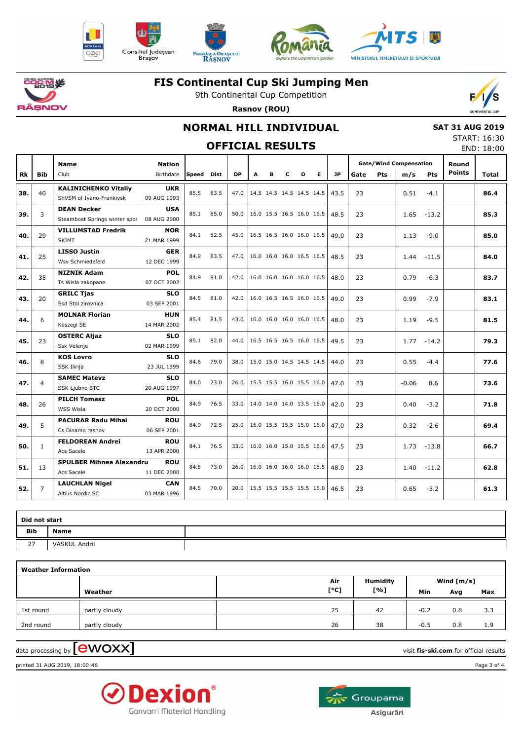









# **こうごく 茶** ìsnov

#### **FIS Continental Cup Ski Jumping Men**

9th Continental Cup Competition **Rasnov (ROU)**



### **NORMAL HILL INDIVIDUAL**

 **SAT 31 AUG 2019** START: 16:30

| <b>OFFICIAL RESULTS</b> |                |                                                         |                            |            |      |           |                            |   |   |                          |                          |           |      |     | JIANI . 10.JU<br>END: 18:00          |         |                        |              |
|-------------------------|----------------|---------------------------------------------------------|----------------------------|------------|------|-----------|----------------------------|---|---|--------------------------|--------------------------|-----------|------|-----|--------------------------------------|---------|------------------------|--------------|
| Rk                      | <b>Bib</b>     | <b>Name</b><br>Club                                     | <b>Nation</b><br>Birthdate | Speed Dist |      | <b>DP</b> | A                          | в | c | D                        | Е                        | <b>JP</b> | Gate | Pts | <b>Gate/Wind Compensation</b><br>m/s | Pts     | Round<br><b>Points</b> | <b>Total</b> |
| 38.                     | 40             | <b>KALINICHENKO Vitaliy</b><br>ShVSM of Ivano-Frankivsk | <b>UKR</b><br>09 AUG 1993  | 85.5       | 83.5 | 47.0      |                            |   |   | 14.5 14.5 14.5 14.5 14.5 |                          | 43.5      | 23   |     | 0.51                                 | $-4.1$  |                        | 86.4         |
| 39.                     | 3              | <b>DEAN Decker</b><br>Steamboat Springs winter spor     | <b>USA</b><br>08 AUG 2000  | 85.1       | 85.0 | 50.0      | 16.0 15.5 16.5 16.0 16.5   |   |   |                          |                          | 48.5      | 23   |     | 1.65                                 | $-13.2$ |                        | 85.3         |
| 40.                     | 29             | <b>VILLUMSTAD Fredrik</b><br><b>SKIMT</b>               | <b>NOR</b><br>21 MAR 1999  | 84.1       | 82.5 | 45.0      |                            |   |   |                          | 16.5 16.5 16.0 16.0 16.5 | 49.0      | 23   |     | 1.13                                 | $-9.0$  |                        | 85.0         |
| 41.                     | 25             | <b>LISSO Justin</b><br>Wsv Schmiedefeld                 | <b>GER</b><br>12 DEC 1999  | 84.9       | 83.5 | 47.0      |                            |   |   |                          | 16.0 16.0 16.0 16.5 16.5 | 48.5      | 23   |     | 1.44                                 | -11.5   |                        | 84.0         |
| 42.                     | 35             | <b>NIZNIK Adam</b><br>Ts Wisla zakopane                 | <b>POL</b><br>07 OCT 2002  | 84.9       | 81.0 | 42.0      |                            |   |   |                          | 16.0 16.0 16.0 16.0 16.5 | 48.0      | 23   |     | 0.79                                 | $-6.3$  |                        | 83.7         |
| 43.                     | 20             | <b>GRILC Tjas</b><br>Ssd Stol zirovnica                 | <b>SLO</b><br>03 SEP 2001  | 84.5       | 81.0 | 42.0      | 16.0 16.5 16.5 16.0 16.5   |   |   |                          |                          | 49.0      | 23   |     | 0.99                                 | $-7.9$  |                        | 83.1         |
| 44.                     | 6              | <b>MOLNAR Florian</b><br>Koszegi SE                     | <b>HUN</b><br>14 MAR 2002  | 85.4       | 81.5 | 43.0      |                            |   |   |                          | 16.0 16.0 16.0 16.0 16.5 | 48.0      | 23   |     | 1.19                                 | $-9.5$  |                        | 81.5         |
| 45.                     | 23             | <b>OSTERC Aljaz</b><br>Ssk Velenje                      | <b>SLO</b><br>02 MAR 1999  | 85.1       | 82.0 | 44.0      |                            |   |   |                          | 16.5 16.5 16.5 16.0 16.5 | 49.5      | 23   |     | 1.77                                 | $-14.2$ |                        | 79.3         |
| 46.                     | 8              | <b>KOS Lovro</b><br>SSK Ilirija                         | <b>SLO</b><br>23 JUL 1999  | 84.6       | 79.0 | 38.0      |                            |   |   |                          | 15.0 15.0 14.5 14.5 14.5 | 44.0      | 23   |     | 0.55                                 | $-4.4$  |                        | 77.6         |
| 47.                     | 4              | <b>SAMEC Matevz</b><br>SSK Ljubno BTC                   | <b>SLO</b><br>20 AUG 1997  | 84.0       | 73.0 | 26.0      |                            |   |   |                          | 15.5 15.5 16.0 15.5 16.0 | 47.0      | 23   |     | $-0.06$                              | 0.6     |                        | 73.6         |
| 48.                     | 26             | <b>PILCH Tomasz</b><br>WSS Wisla                        | <b>POL</b><br>20 OCT 2000  | 84.9       | 76.5 | 33.0      |                            |   |   |                          | 14.0 14.0 14.0 13.5 16.0 | 42.0      | 23   |     | 0.40                                 | $-3.2$  |                        | 71.8         |
| 49.                     | 5              | <b>PACURAR Radu Mihai</b><br>Cs Dinamo rasnov           | <b>ROU</b><br>06 SEP 2001  | 84.9       | 72.5 | 25.0      |                            |   |   |                          | 16.0 15.5 15.5 15.0 16.0 | 47.0      | 23   |     | 0.32                                 | $-2.6$  |                        | 69.4         |
| 50.                     | $\mathbf{1}$   | <b>FELDOREAN Andrei</b><br>Acs Sacele                   | <b>ROU</b><br>13 APR 2000  | 84.1       | 76.5 | 33.0      |                            |   |   |                          | 16.0 16.0 15.0 15.5 16.0 | 47.5      | 23   |     | 1.73                                 | $-13.8$ |                        | 66.7         |
| 51.                     | 13             | <b>SPULBER Mihnea Alexandru</b><br>Acs Sacele           | <b>ROU</b><br>11 DEC 2000  | 84.5       | 73.0 | 26.0      |                            |   |   | 16.0 16.0 16.0 16.0 16.5 |                          | 48.0      | 23   |     | 1.40                                 | $-11.2$ |                        | 62.8         |
| 52.                     | $\overline{7}$ | <b>LAUCHLAN Nigel</b>                                   | <b>CAN</b>                 | 84.5       | 70.0 | 20.0      | $15.5$ 15.5 15.5 15.5 16.0 |   |   |                          |                          | 46.5      | 23   |     | 0.65                                 | $-5.2$  |                        | 61.3         |

| Did not start |               |  |  |  |  |  |  |  |  |  |  |  |
|---------------|---------------|--|--|--|--|--|--|--|--|--|--|--|
| Bib           | <b>Name</b>   |  |  |  |  |  |  |  |  |  |  |  |
| 27            | VASKUL Andrii |  |  |  |  |  |  |  |  |  |  |  |

| <b>Weather Information</b> |               |      |          |        |              |     |  |  |  |  |  |  |  |
|----------------------------|---------------|------|----------|--------|--------------|-----|--|--|--|--|--|--|--|
|                            |               | Air  | Humidity |        | Wind $[m/s]$ |     |  |  |  |  |  |  |  |
|                            | Weather       | [°C] | [%]      | Min    | Avg          | Max |  |  |  |  |  |  |  |
| 1st round                  | partly cloudy | 25   | 42       | $-0.2$ | 0.8          | 3.3 |  |  |  |  |  |  |  |
| 2nd round                  | partly cloudy | 26   | 38       | $-0.5$ | 0.8          | 1.9 |  |  |  |  |  |  |  |

 $\alpha$  data processing by  $\boxed{\text{ewOX}}$ 

Altius Nordic SC

printed 31 AUG 2019, 18:00:46 Page 3 of 4



03 MAR 1996